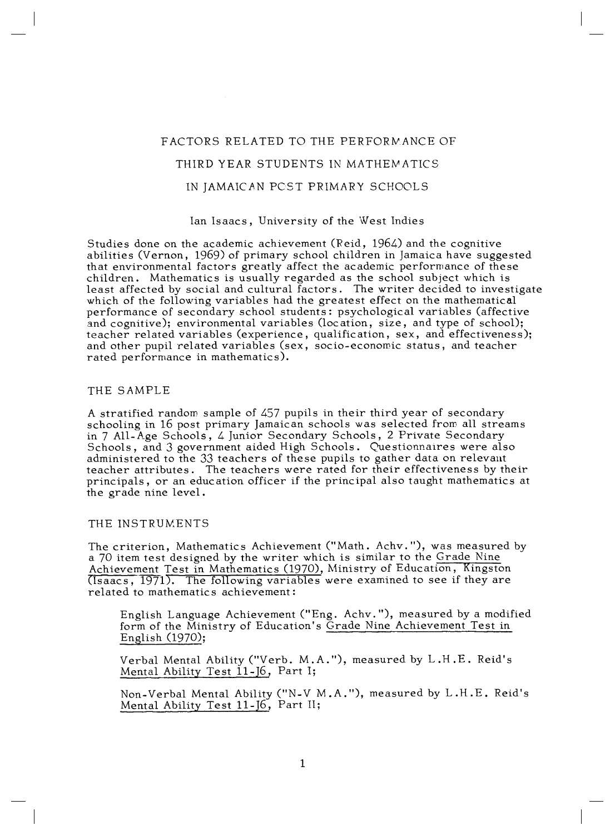# FACTORS RELATED TO THE PERFORMANCE OF THIRD YEAR STUDENTS IN MATHEMATICS IN JAMAICAN POST PRIMARY SCHOOLS

### Ian Isaacs, University of the West Indies

Studies done on the academic achievement (Reid, 1964) and the cognitive abilities (Vernon, 1969) of primary school children in Jamaica have suggested that environmental factors greatly affect the academic performance of these children. Mathematics is usually regarded as the school subject which is least affected by social and cultural factors. The writer decided to investigate which of the following variables had the greatest effect on the mathematical performance of secondary school students: psychological variables (affective and cognitive); environmental variables (location, size, and type of school); teacher related variables (experience, qualification, sex, and effectiveness); and other pupil related variables (sex, socio-economic status, and teacher rated performance in mathematics).

### THE SAMPLE

A stratified random sample of 457 pupils in their third year of secondary schooling in 16 post primary Jamaican schools was selected from all streams in 7 All-Age Schools, 4 Junior Secondary Schools, 2 Private Secondary Schools, and 3 government aided High Schools. Questionnaires were also administered to the 33 teachers of these pupils to gather data on relevant teacher attributes. The teachers were rated for their effectiveness by their principals, or an education officer if the principal also taught mathematics at the grade nine level.

# THE INSTRUMENTS

The criterion, Mathematics Achievement ("Math. Achv."), was measured by a 70 item test designed by the writer which is similar to the Grade Nine Achievement Test in Mathematics (1970), Ministry of Education, Kingston  $(Tsaacs, 1971)$ . The following variables were examined to see if they are related to mathematics achievement:

English Language Achievement ("Eng. Achv."), measured by a modified form of the Ministry of Education's Grade Nine Achievement Test in English (1970);

Verbal Mental Ability ("Verb. M.A."), measured by L.H.E. Reid's Mental Ability Test  $11 - 16$ , Part I;

Non-Verbal Mental Ability ("N-V M.A."), measured by L.H.E. Reid's Mental Ability Test 11-J6, Part II;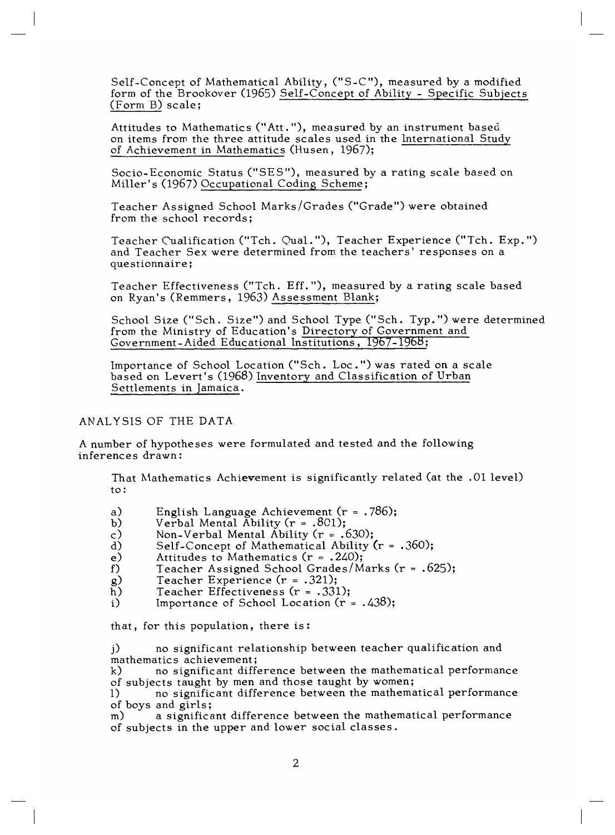Self-Concept of Mathematical Ability, ("S-C"), measured by a modified form of the Brookover (1965) Self-Concept of Ability - Specific Subjects (Form B) scale;

Attitudes to Mathematics ("Att."), measured by an instrument based on items from the three attitude scales used in the International Study of Achievement in Mathematics (Husen, 1967);

Socio-Economic Status ("SES"), measured by a rating scale based on Miller's (1967) Occupational Coding Scheme;

Teacher Assigned School Marks/Grades ("Grade") were obtained from the school records;

Teacher Cualification ("Tch. Qual."), Teacher Experience ("Teh. Exp.") and Teacher Sex were determined from the teachers' responses on a questionnaire;

Teacher Effectiveness ("Tch. Eff."), measured by a rating scale based on Ryan's (Remmers, 1963) Assessment Blank;

School Size ("Sch. Size") and School Type ("Sch. Typ.") were determined from the Ministry of Education's Directory of Government and Government-Aided Educational Institutions, 1967-1968;

Importance of School Location ("Sch. Loc.") was rated on a scale based on Levert's (1968) Inventory and Classification of Urban Settlements in Jamaica.

### ANALYSIS OF THE DATA

A number of hypotheses were formulated and tested and the following inferences drawn:

That Mathematics Achievement is significantly related (at the .01 level) to:

- a) English Language Achievement ( $r = .786$ );<br>b) Verbal Mental Ability ( $r = .801$ );
- b) Verbal Mental Ability ( $r = .801$ );<br>c) Non-Verbal Mental Ability ( $r = .6$
- c) Non-Verbal Mental Ability ( $r = .630$ );<br>d) Self-Concept of Mathematical Ability (
- d) Self-Concept of Mathematical Ability  $(r = .360)$ ;<br>e) Attitudes to Mathematics  $(r = .240)$ ;
- e) Attitudes to Mathematics (r = .240);<br>f) Teacher Assigned School Grades/M
- f) Teacher Assigned School Grades/Marks ( $r = .625$ );<br>g) Teacher Experience ( $r = .321$ );
- g) Teacher Experience  $(r = .321);$ <br>h) Teacher Effectiveness  $(r = .331)$
- Teacher Effectiveness ( $r = .331$ );
- i) Importance of School Location  $(r = .438);$

that, for this population, there is:

j) no significant relationship between teacher qualification and mathematics achievement;<br>k) no significant differ-

no significant difference between the mathematical performance of subjects taught by men and those taught by women;

l) no significant difference between the mathematical performance of boys and girls;

m) a significant difference between the mathematical performance of subjects in the upper and lower social classes.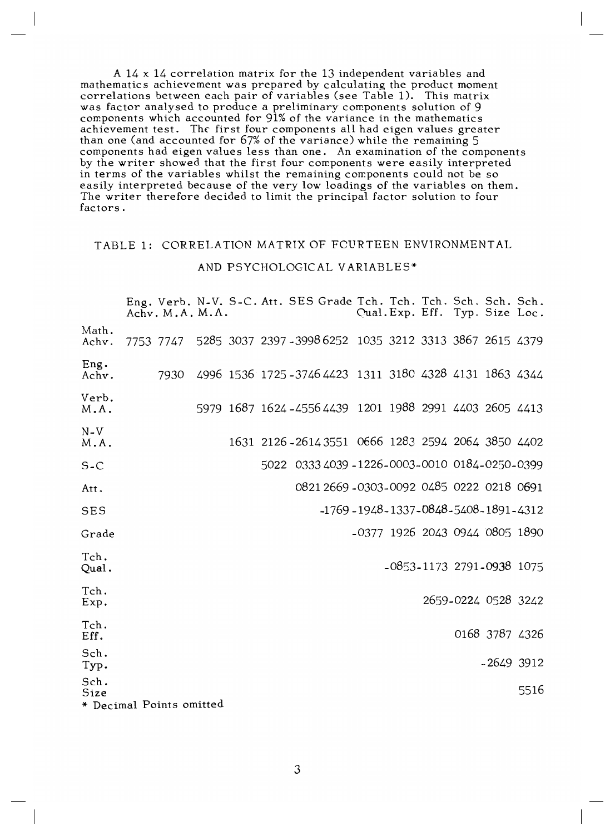A 14 x 14 correlation matrix for the 13 independent variables and mathematics achievement was prepared by calculating the product moment correlations between each pair of variables (see Table 1). This matrix was factor analysed to produce a preliminary components solution of 9 components which accounted for 91% of the variance in the mathematics achievement test. The first four components all had eigen values greater than one (and accounted for 67% of the variance) while the remaining 5 components had eigen values less than one. An examination of the components by the writer showed that the first four components were easily interpreted in terms of the variables whilst the remaining components could not be so easily interpreted because of the very low loadings of the variables on them. The writer therefore decided to limit the principal factor solution to four factors.

# TABLE 1: CORRELATION MATRIX OF FOURTEEN ENVIRONMENTAL

#### AND PSYCHOLOGICAL VARIABLES\*

|                                          | Eng. Verb. N-V. S-C. Att. SES Grade Tch. Tch. Tch. Sch. Sch. Sch.<br>Achv. M.A. M.A. |  |  |                                                          | Qual. Exp. Eff. Typ. Size Loc. |  |                     |      |
|------------------------------------------|--------------------------------------------------------------------------------------|--|--|----------------------------------------------------------|--------------------------------|--|---------------------|------|
| Math.<br>Achv.                           | 7753 7747 5285 3037 2397 - 3998 6252 1035 3212 3313 3867 2615 4379                   |  |  |                                                          |                                |  |                     |      |
| Eng.<br>Achv.                            | 7930                                                                                 |  |  | 4996 1536 1725 - 3746 4423 1311 3180 4328 4131 1863 4344 |                                |  |                     |      |
| Verb.<br>M.A.                            |                                                                                      |  |  | 5979 1687 1624 - 4556 4439 1201 1988 2991 4403 2605 4413 |                                |  |                     |      |
| $N-V$<br>M.A.                            |                                                                                      |  |  | 1631 2126 - 2614 3551 0666 1283 2594 2064 3850 4402      |                                |  |                     |      |
| $S-C$                                    |                                                                                      |  |  | 5022 0333 4039 -1226-0003-0010 0184-0250-0399            |                                |  |                     |      |
| Att.                                     |                                                                                      |  |  | 0821 2669 -0303-0092 0485 0222 0218 0691                 |                                |  |                     |      |
| <b>SES</b>                               |                                                                                      |  |  | $-1769 - 1948 - 1337 - 0848 - 5408 - 1891 - 4312$        |                                |  |                     |      |
| Grade                                    |                                                                                      |  |  | -0377 1926 2043 0944 0805 1890                           |                                |  |                     |      |
| Tch.<br>Qual.                            |                                                                                      |  |  |                                                          | -0853-1173 2791-0938 1075      |  |                     |      |
| Tch.<br>Exp.                             |                                                                                      |  |  |                                                          |                                |  | 2659-0224 0528 3242 |      |
| Tch.<br>Eff.                             |                                                                                      |  |  |                                                          |                                |  | 0168 3787 4326      |      |
| Sch.<br>Typ.                             |                                                                                      |  |  |                                                          |                                |  | $-2649$ 3912        |      |
| Sch.<br>Size<br>* Decimal Points omitted |                                                                                      |  |  |                                                          |                                |  |                     | 5516 |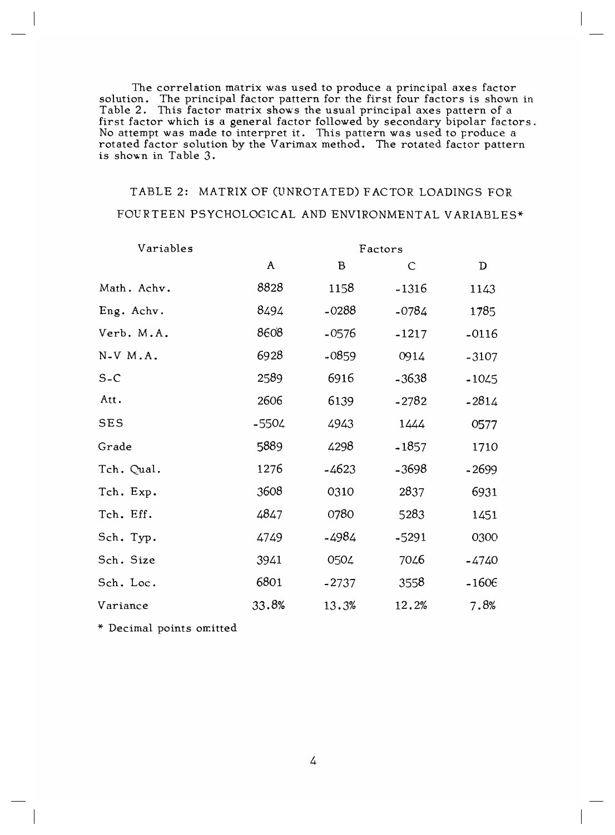The correlation matrix was used to produce a principal axes factor solution. The principal factor pattern for the first four factors is shown in Table 2. This factor matrix shows the usual principal axes pattern of a first factor which is a general factor followed by secondary bipolar factors. No attempt was made to interpret it. This pattern was used to produce a rotated factor solution by the Varimax method. The rotated factor pattern is shown in Table 3.

# TABLE 2: MATRIX OF (UNROTATED) FACTOR LOADINGS FOR FOURTEEN PSYCHOLOGICAL AND ENVIRONMENTAL VARIABLES\*

| Variables   | Factors      |         |              |         |  |  |  |  |
|-------------|--------------|---------|--------------|---------|--|--|--|--|
|             | $\mathbf{A}$ | B       | $\mathsf{C}$ | D       |  |  |  |  |
| Math. Achv. | 8828         | 1158    | $-1316$      | 1143    |  |  |  |  |
| Eng. Achv.  | 8494         | $-0288$ | $-0784$      | 1785    |  |  |  |  |
| Verb. M.A.  | 8608         | $-0576$ | $-1217$      | $-0116$ |  |  |  |  |
| N-V M.A.    | 6928         | $-0859$ | 0914         | $-3107$ |  |  |  |  |
| $S-C$       | 2589         | 6916    | $-3638$      | $-1045$ |  |  |  |  |
| Att.        | 2606         | 6139    | $-2782$      | $-2814$ |  |  |  |  |
| <b>SES</b>  | $-5504$      | 4943    | 1444         | 0577    |  |  |  |  |
| Grade       | 5889         | 4298    | $-1857$      | 1710    |  |  |  |  |
| Tch. Qual.  | 1276         | $-4623$ | $-3698$      | $-2699$ |  |  |  |  |
| Tch. Exp.   | 3608         | 0310    | 2837         | 6931    |  |  |  |  |
| Tch. Eff.   | 4847         | 0780    | 5283         | 1451    |  |  |  |  |
| Sch. Typ.   | 4749         | -4984   | $-5291$      | 0300    |  |  |  |  |
| Sch. Size   | 3941         | 0504    | 7046         | -4740   |  |  |  |  |
| Sch. Loc.   | 6801         | $-2737$ | 3558         | $-1606$ |  |  |  |  |
| Variance    | 33.8%        | 13.3%   | 12.2%        | 7.8%    |  |  |  |  |

\* Decimal points omitted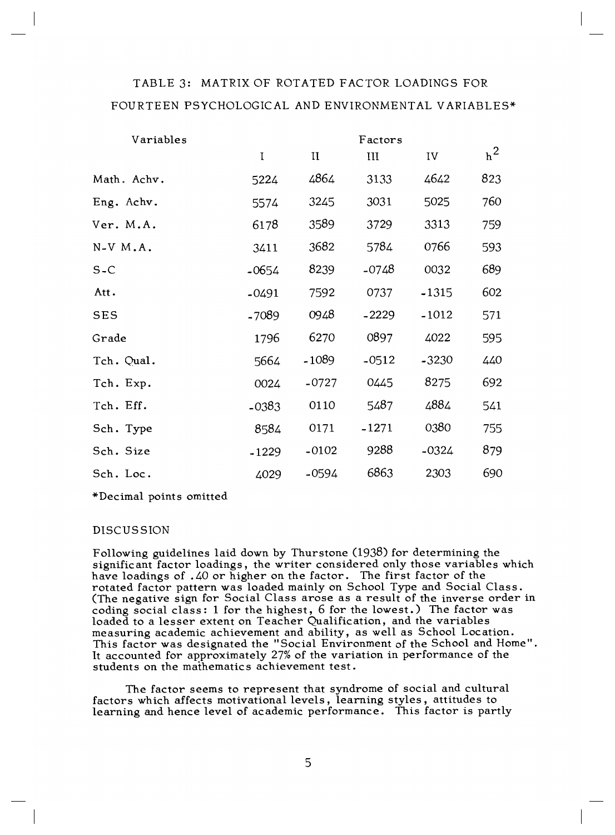# TABLE 3: MATRIX OF ROTATED FACTOR LOADINGS FOR FOURTEEN PSYCHOLOGICAL AND ENVIRONMENTAL VARIABLES\*

| Variables   | Factors     |              |         |         |       |  |  |
|-------------|-------------|--------------|---------|---------|-------|--|--|
|             | $\mathbf I$ | $\mathbf{I}$ | III     | IV      | $h^2$ |  |  |
| Math. Achv. | 5224        | 4864         | 3133    | 4642    | 823   |  |  |
| Eng. Achv.  | 5574        | 3245         | 3031    | 5025    | 760   |  |  |
| Ver. M.A.   | 6178        | 3589         | 3729    | 3313    | 759   |  |  |
| N-V M.A.    | 3411        | 3682         | 5784    | 0766    | 593   |  |  |
| $S-C$       | $-0654$     | 8239         | -0748   | 0032    | 689   |  |  |
| Att.        | $-0491$     | 7592         | 0737    | $-1315$ | 602   |  |  |
| <b>SES</b>  | -7089       | 0948         | $-2229$ | $-1012$ | 571   |  |  |
| Grade       | 1796        | 6270         | 0897    | 4022    | 595   |  |  |
| Tch. Qual.  | 5664        | $-1089$      | $-0512$ | $-3230$ | 440   |  |  |
| Tch. Exp.   | 0024        | $-0727$      | 0445    | 8275    | 692   |  |  |
| Tch. Eff.   | $-0383$     | 0110         | 5487    | 4884    | 541   |  |  |
| Sch. Type   | 8584        | 0171         | $-1271$ | 0380    | 755   |  |  |
| Sch. Size   | $-1229$     | $-0102$      | 9288    | $-0324$ | 879   |  |  |
| Sch. Loc.   | 4029        | $-0594$      | 6863    | 2303    | 690   |  |  |

\*Decimal points omitted

# DISCUSSION

Following guidelines laid down by Thurstone (1938) for determining the significant factor loadings, the writer considered only those variables which have loadings of .40 or higher on the factor. The first factor of the rotated factor pattern was loaded mainly on School Type and Social Class. (The negative sign for Social Class arose as a result of the inverse order in coding social class: 1 for the highest, 6 for the lowest.) The factor was loaded to a lesser extent on Teacher Qualification, and the variables measuring academic achievement and ability, as well as School Location. This factor was designated the "Social Environment of the School and Home". It accounted for approximately 27% of the variation in performance of the students on the mathematics achievement test.

The factor seems to represent that syndrome of social and cultural factors which affects motivational levels, learning styles, attitudes to learning and hence level of academic performance. This factor is partly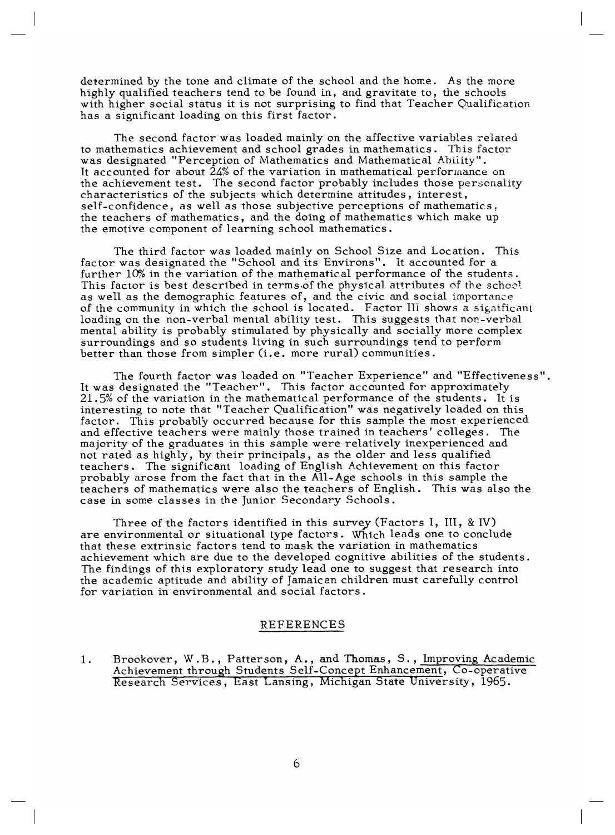determined by the tone and climate of the school and the home. As the more highly qualified teachers tend to be found in, and gravitate to, the schools with higher social status it is not surprising to find that Teacher Qualification has a significant loading on this first factor.

The second factor was loaded mainly on the affective variables related to mathematics achievement and school grades in mathematics. This factor was designated "Perception of Mathematics and Mathematical Ability". It accounted for about  $24\%$  of the variation in mathematical performance on the achievement test. The second factor probably includes those personality characteristics of the subjects which determine attitudes, interest, self-confidence, as well as those subjective perceptions of mathematics, the teachers of mathematics, and the doing of mathematics which make up the emotive component of learning school mathematics.

The third factor was loaded mainly on School Size and Location. This factor was designated the "School and its Environs". it accounted for a further 10% in the variation of the mathematical performance of the students. This factor is best described in terms of the physical attributes of the school as well as the demographic features of, and the civic and social importance of the community in which the school is located. Factor III shows a significant loading on the non-verbal mental ability test. This suggests that non-verbal mental ability is probably stimulated by physically and socially more complex surroundings and so students living in such surroundings tend to perform better than those from simpler (i.e. more rural) communities.

The fourth factor was loaded on "Teacher Experience" and "Effectiveness". It was designated the "Teacher". This factor accounted for approximately 21.5% of the variation in the mathematical performance of the students. It is interesting to note that "Teacher Qualification" was negatively loaded on this factor. This probably occurred because for this sample the most experienced and effective teachers were mainly those trained in teachers' colleges. The majority of the graduates in this sample were relatively inexperienced and not rated as highly, by their principals, as the older and less qualified teachers . The significant loading of English Achievement on this factor probably arose from the fact that in the All-Age schools in this sample the teachers of mathematics were also the teachers of English. This was also the case in some classes in the Junior Secondary Schools.

Three of the factors identified in this survey (Factors I, III, & IV) are environmental or situational type factors. Which leads one to conclude that these extrinsic factors tend to mask the variation in mathematics achievement which are due to the developed cognitive abilities of the students. The findings of this exploratory study lead one to suggest that research into the academic aptitude and ability of Jamaican children must carefully control for variation in environmental and social factors.

#### REFERENCES

1. Brookover, W.B., Patterson, A., and Thomas, S., Improving Academic Achievement through Students Self-Concept Enhancement, Co-operative Research Services, East Lansing, Michigan State University, 1965.